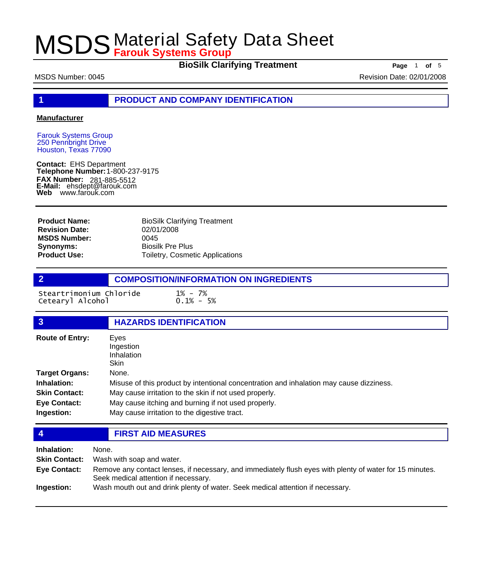**BioSilk Clarifying Treatment** Page 1 of 5

**1 PRODUCT AND COMPANY IDENTIFICATION**

#### **Manufacturer**

Farouk Systems Group 250 Pennbright Drive Houston, Texas 77090

**Contact:** EHS Department **Telephone Number:** 1-800-237-9175 **FAX Number: FAX Number:** 281-885-5512<br>**E-Mail:** ehsdept@farouk.com **Web** www.farouk.com

BioSilk Clarifying Treatment 02/01/2008 0045 Biosilk Pre Plus Toiletry, Cosmetic Applications **Product Name: Revision Date: MSDS Number: Synonyms: Product Use:**

**2 COMPOSITION/INFORMATION ON INGREDIENTS**

Steartrimonium Chloride 1% - 7% Cetearyl Alcohol

| $\overline{3}$         | <b>HAZARDS IDENTIFICATION</b>                                                           |
|------------------------|-----------------------------------------------------------------------------------------|
| <b>Route of Entry:</b> | Eyes<br>Ingestion<br>Inhalation<br><b>Skin</b>                                          |
| <b>Target Organs:</b>  | None.                                                                                   |
| Inhalation:            | Misuse of this product by intentional concentration and inhalation may cause dizziness. |
| <b>Skin Contact:</b>   | May cause irritation to the skin if not used properly.                                  |
| <b>Eye Contact:</b>    | May cause itching and burning if not used properly.                                     |
| Ingestion:             | May cause irritation to the digestive tract.                                            |

**4 FIRST AID MEASURES**

**Inhalation:** None. **Skin Contact:** Wash with soap and water. Remove any contact lenses, if necessary, and immediately flush eyes with plenty of water for 15 minutes. Seek medical attention if necessary. **Eye Contact: Ingestion:** Wash mouth out and drink plenty of water. Seek medical attention if necessary.

MSDS Number: 0045 **Revision Date: 02/01/2008** Revision Date: 02/01/2008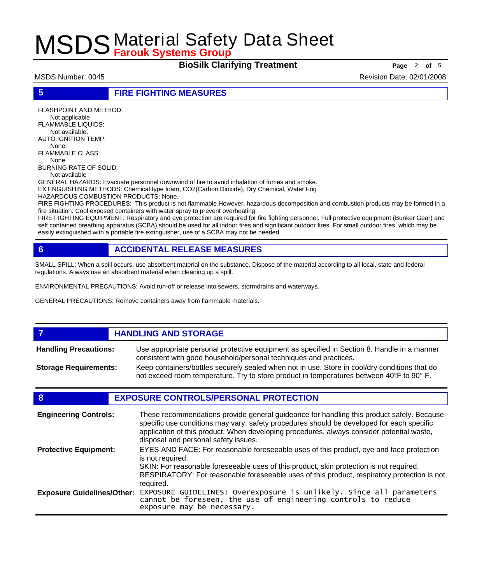**BioSilk Clarifying Treatment** Page 2 of 5

MSDS Number: 0045 **Revision Date: 02/01/2008** Revision Date: 02/01/2008

**5 FIRE FIGHTING MEASURES**

FLASHPOINT AND METHOD: Not applicable FLAMMABLE LIQUIDS: Not available. AUTO IGNITION TEMP: None. FLAMMABLE CLASS: None. BURNING RATE OF SOLID:

Not available

GENERAL HAZARDS: Evacuate personnel downwind of fire to avoid inhalation of fumes and smoke. EXTINGUISHING METHODS: Chemical type foam, CO2(Carbon Dioxide), Dry Chemical, Water Fog

HAZARDOUS COMBUSTION PRODUCTS: None.

FIRE FIGHTING PROCEDURES: This product is not flammable.However, hazardous decomposition and combustion products may be formed in a fire situation. Cool exposed containers with water spray to prevent overheating.

FIRE FIGHTING EQUIPMENT: Respiratory and eye protection are required for fire fighting personnel. Full protective equipment (Bunker Gear) and self contained breathing apparatus (SCBA) should be used for all indoor fires and significant outdoor fires. For small outdoor fires, which may be easily extinguished with a portable fire extinguisher, use of a SCBA may not be needed.

## **6 ACCIDENTAL RELEASE MEASURES**

SMALL SPILL: When a spill occurs, use absorbent material on the substance. Dispose of the material according to all local, state and federal regulations. Always use an absorbent material when cleaning up a spill.

ENVIRONMENTAL PRECAUTIONS: Avoid run-off or release into sewers, stormdrains and waterways.

GENERAL PRECAUTIONS: Remove containers away from flammable materials.

#### *HANDLING AND STORAGE* Use appropriate personal protective equipment as specified in Section 8. Handle in a manner consistent with good household/personal techniques and practices. **Handling Precautions:** Keep containers/bottles securely sealed when not in use. Store in cool/dry conditions that do not exceed room temperature. Try to store product in temperatures between 40°F to 90° F. **Storage Requirements:**

### **8 EXPOSURE CONTROLS/PERSONAL PROTECTION**

| <b>Engineering Controls:</b>      | These recommendations provide general guideance for handling this product safely. Because<br>specific use conditions may vary, safety procedures should be developed for each specific<br>application of this product. When developing procedures, always consider potential waste,<br>disposal and personal safety issues. |
|-----------------------------------|-----------------------------------------------------------------------------------------------------------------------------------------------------------------------------------------------------------------------------------------------------------------------------------------------------------------------------|
| <b>Protective Equipment:</b>      | EYES AND FACE: For reasonable foreseeable uses of this product, eye and face protection<br>is not required.<br>SKIN: For reasonable foreseeable uses of this product, skin protection is not required.<br>RESPIRATORY: For reasonable foreseeable uses of this product, respiratory protection is not<br>required.          |
| <b>Exposure Guidelines/Other:</b> | EXPOSURE GUIDELINES: Overexposure is unlikely. Since all parameters cannot be foreseen, the use of engineering controls to reduce<br>exposure may be necessary.                                                                                                                                                             |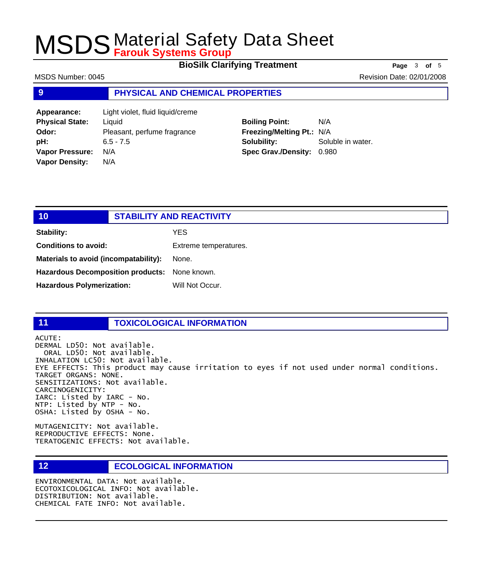**BioSilk Clarifying Treatment Page** <sup>3</sup> **of** <sup>5</sup>

MSDS Number: 0045 Revision Date: 02/01/2008

### **9 PHYSICAL AND CHEMICAL PROPERTIES**

**Appearance:** Light violet, fluid liquid/creme **Physical State:** Liquid **Odor:** Pleasant, perfume fragrance **pH:** 6.5 - 7.5 **Vapor Pressure:** N/A **Vapor Density:** N/A

## **Boiling Point:** N/A **Freezing/Melting Pt.:** N/A **Solubility:** Soluble in water. **Spec Grav./Density:** 0.980

## **10 STABILITY AND REACTIVITY Stability:** YES **Conditions to avoid:** Extreme temperatures. **Materials to avoid (incompatability):** None. **Hazardous Decomposition products:** None known. Hazardous Polymerization: Will Not Occur.

### **11 TOXICOLOGICAL INFORMATION**

ACUTE:

DERMAL LD50: Not available. ORAL LD50: Not available. INHALATION LC50: Not available. EYE EFFECTS: This product may cause irritation to eyes if not used under normal conditions. TARGET ORGANS: NONE. SENSITIZATIONS: Not available. CARCINOGENICITY: IARC: Listed by IARC - No. NTP: Listed by NTP - No. OSHA: Listed by OSHA - No.

MUTAGENICITY: Not available. REPRODUCTIVE EFFECTS: None. TERATOGENIC EFFECTS: Not available.

### **12 ECOLOGICAL INFORMATION**

ENVIRONMENTAL DATA: Not available. ECOTOXICOLOGICAL INFO: Not available. DISTRIBUTION: Not available. CHEMICAL FATE INFO: Not available.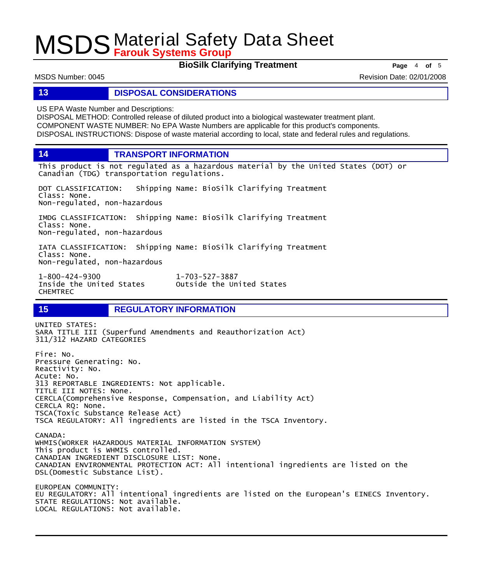**BioSilk Clarifying Treatment** Page 4 of 5

MSDS Number: 0045 Revision Date: 02/01/2008

### **13 DISPOSAL CONSIDERATIONS**

US EPA Waste Number and Descriptions:

DISPOSAL METHOD: Controlled release of diluted product into a biological wastewater treatment plant. COMPONENT WASTE NUMBER: No EPA Waste Numbers are applicable for this product's components. DISPOSAL INSTRUCTIONS: Dispose of waste material according to local, state and federal rules and regulations.

**14 TRANSPORT INFORMATION**

This product is not regulated as a hazardous material by the United States (DOT) or Canadian (TDG) transportation regulations.

DOT CLASSIFICATION: Shipping Name: BioSilk Clarifying Treatment Class: None. Non-regulated, non-hazardous

IMDG CLASSIFICATION: Shipping Name: BioSilk Clarifying Treatment Class: None. Non-regulated, non-hazardous

IATA CLASSIFICATION: Shipping Name: BioSilk Clarifying Treatment Class: None. Non-regulated, non-hazardous

1-800-424-9300 1-703-527-3887 CHEMTREC

Outside the United States

### **15 REGULATORY INFORMATION**

UNITED STATES: SARA TITLE III (Superfund Amendments and Reauthorization Act) 311/312 HAZARD CATEGORIES Fire: No. Pressure Generating: No. Reactivity: No. Acute: No. 313 REPORTABLE INGREDIENTS: Not applicable. TITLE III NOTES: None. CERCLA(Comprehensive Response, Compensation, and Liability Act) CERCLA RQ: None. TSCA(Toxic Substance Release Act) TSCA REGULATORY: All ingredients are listed in the TSCA Inventory. CANADA: WHMIS(WORKER HAZARDOUS MATERIAL INFORMATION SYSTEM) This product is WHMIS controlled. CANADIAN INGREDIENT DISCLOSURE LIST: None. CANADIAN ENVIRONMENTAL PROTECTION ACT: All intentional ingredients are listed on the DSL(Domestic Substance List). EUROPEAN COMMUNITY: EU REGULATORY: All intentional ingredients are listed on the European's EINECS Inventory. STATE REGULATIONS: Not available. LOCAL REGULATIONS: Not available.